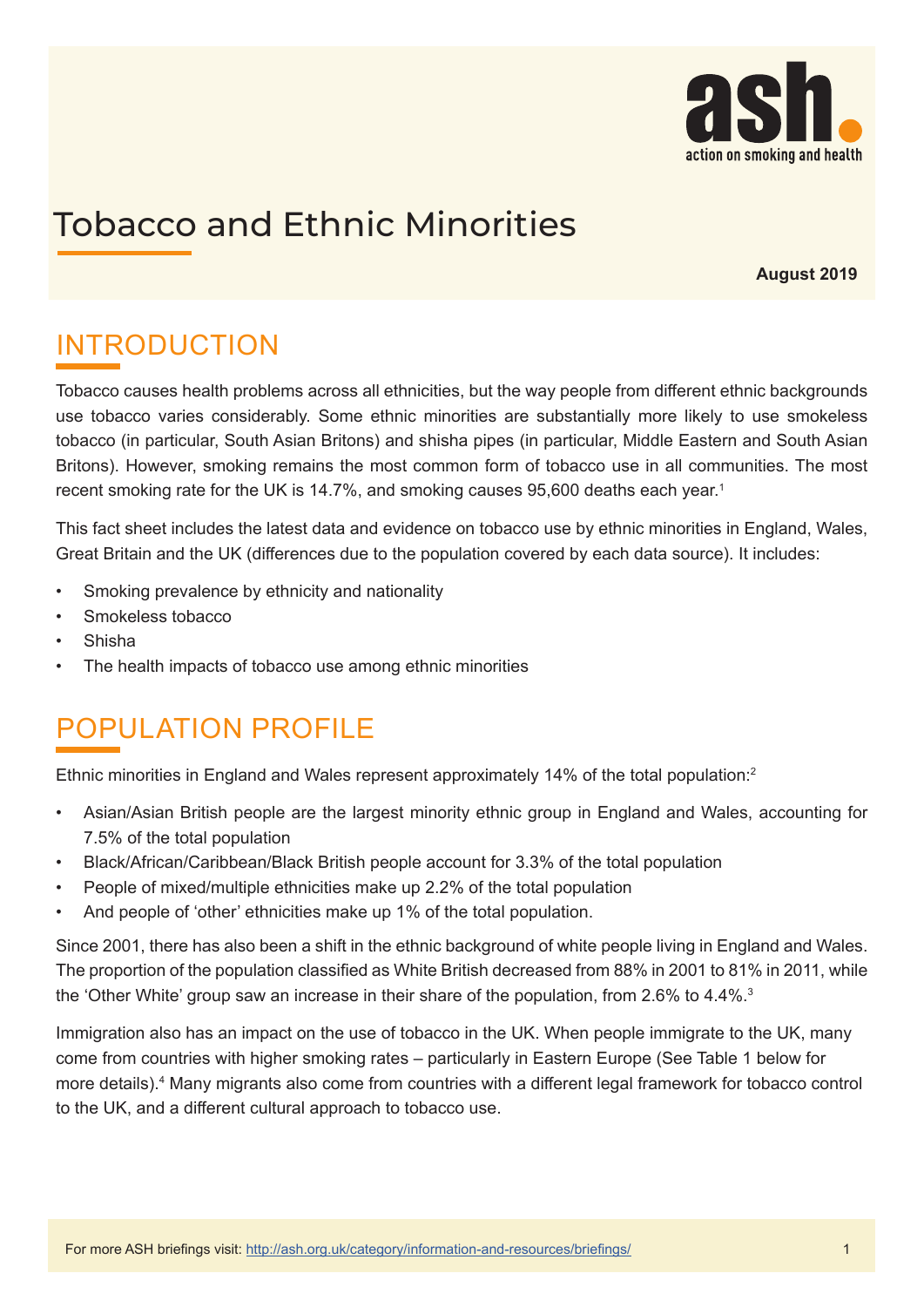

# Tobacco and Ethnic Minorities

**August 2019**

# INTRODUCTION

Tobacco causes health problems across all ethnicities, but the way people from different ethnic backgrounds use tobacco varies considerably. Some ethnic minorities are substantially more likely to use smokeless tobacco (in particular, South Asian Britons) and shisha pipes (in particular, Middle Eastern and South Asian Britons). However, smoking remains the most common form of tobacco use in all communities. The most recent smoking rate for the UK is 14.7%, and smoking causes 95,600 deaths each year. 1

This fact sheet includes the latest data and evidence on tobacco use by ethnic minorities in England, Wales, Great Britain and the UK (differences due to the population covered by each data source). It includes:

- Smoking prevalence by ethnicity and nationality
- Smokeless tobacco
- Shisha
- The health impacts of tobacco use among ethnic minorities

## POPULATION PROFILE

Ethnic minorities in England and Wales represent approximately 14% of the total population:<sup>2</sup>

- Asian/Asian British people are the largest minority ethnic group in England and Wales, accounting for 7.5% of the total population
- Black/African/Caribbean/Black British people account for 3.3% of the total population
- People of mixed/multiple ethnicities make up 2.2% of the total population
- And people of 'other' ethnicities make up 1% of the total population.

Since 2001, there has also been a shift in the ethnic background of white people living in England and Wales. The proportion of the population classified as White British decreased from 88% in 2001 to 81% in 2011, while the 'Other White' group saw an increase in their share of the population, from 2.6% to 4.4%.<sup>3</sup>

Immigration also has an impact on the use of tobacco in the UK. When people immigrate to the UK, many come from countries with higher smoking rates – particularly in Eastern Europe (See Table 1 below for more details).<sup>4</sup> Many migrants also come from countries with a different legal framework for tobacco control to the UK, and a different cultural approach to tobacco use.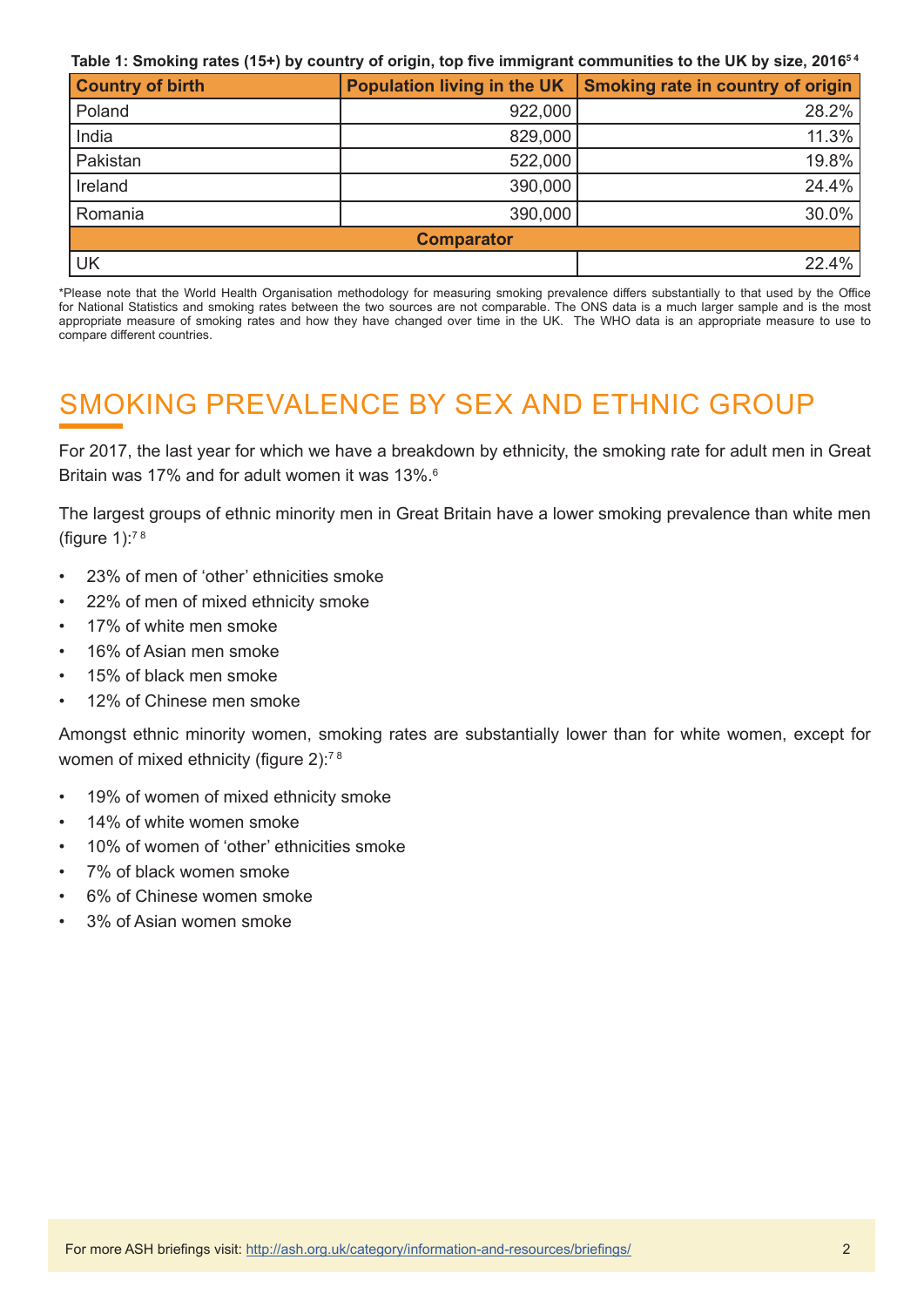**Table 1: Smoking rates (15+) by country of origin, top five immigrant communities to the UK by size, 20165 4**

| <b>Country of birth</b> | Population living in the UK | Smoking rate in country of origin |  |  |
|-------------------------|-----------------------------|-----------------------------------|--|--|
| Poland                  | 922,000                     | 28.2%                             |  |  |
| India                   | 829,000                     | 11.3%                             |  |  |
| Pakistan                | 522,000                     | 19.8%                             |  |  |
| Ireland                 | 390,000                     | 24.4%                             |  |  |
| Romania                 | 390,000                     | 30.0%                             |  |  |
| <b>Comparator</b>       |                             |                                   |  |  |
| UK                      |                             | 22.4%                             |  |  |

\*Please note that the World Health Organisation methodology for measuring smoking prevalence differs substantially to that used by the Office for National Statistics and smoking rates between the two sources are not comparable. The ONS data is a much larger sample and is the most appropriate measure of smoking rates and how they have changed over time in the UK. The WHO data is an appropriate measure to use to compare different countries.

# SMOKING PREVALENCE BY SEX AND ETHNIC GROUP

For 2017, the last year for which we have a breakdown by ethnicity, the smoking rate for adult men in Great Britain was 17% and for adult women it was 13%. $^{\rm 6}$ 

The largest groups of ethnic minority men in Great Britain have a lower smoking prevalence than white men (figure  $1$ ):<sup>78</sup>

- 23% of men of 'other' ethnicities smoke
- 22% of men of mixed ethnicity smoke
- 17% of white men smoke
- 16% of Asian men smoke
- 15% of black men smoke
- 12% of Chinese men smoke

Amongst ethnic minority women, smoking rates are substantially lower than for white women, except for women of mixed ethnicity (figure 2):<sup>78</sup>

- 19% of women of mixed ethnicity smoke
- 14% of white women smoke
- 10% of women of 'other' ethnicities smoke
- 7% of black women smoke
- 6% of Chinese women smoke
- 3% of Asian women smoke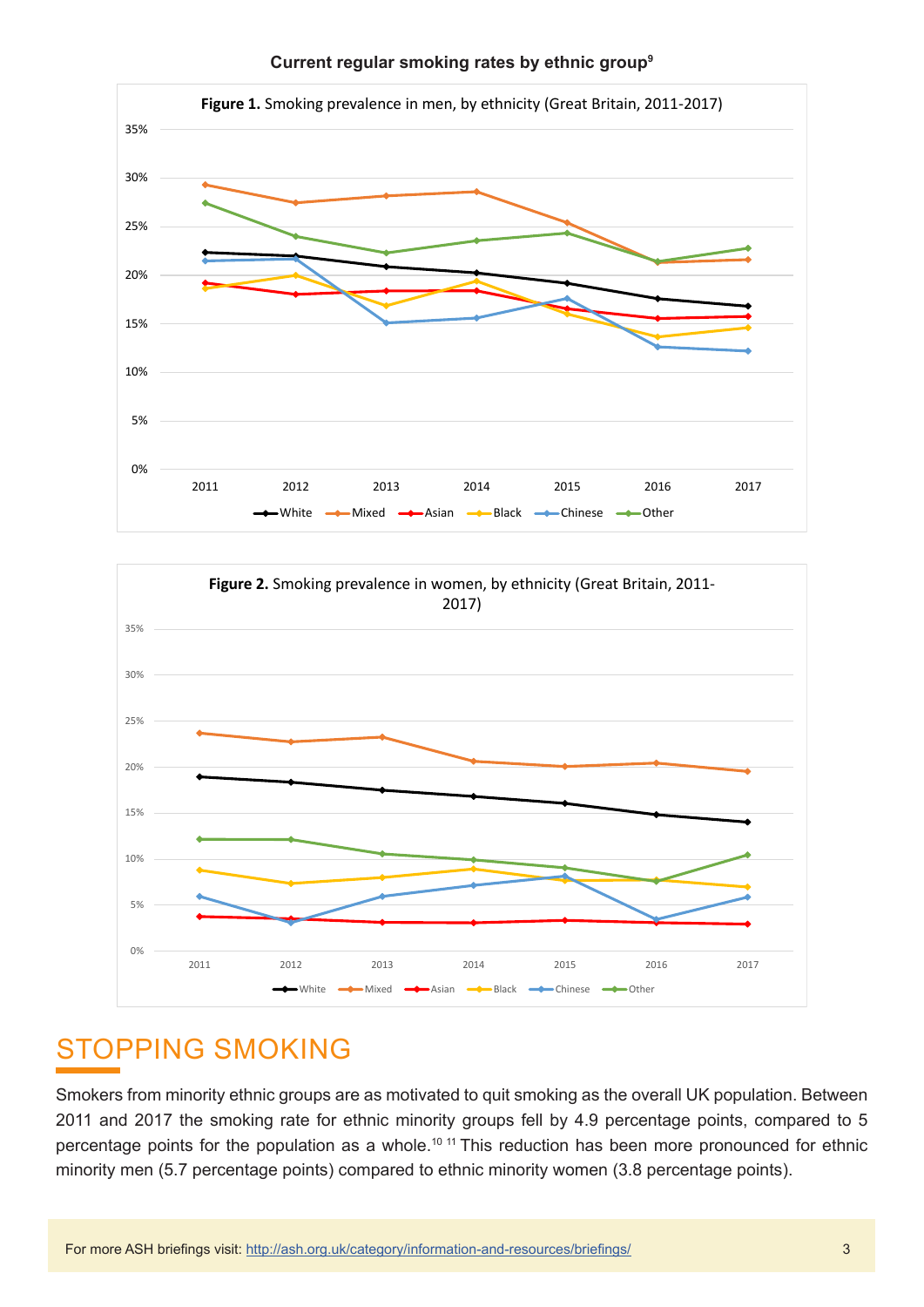

**Current regular smoking rates by ethnic group<sup>9</sup>**



### STOPPING SMOKING

Smokers from minority ethnic groups are as motivated to quit smoking as the overall UK population. Between 2011 and 2017 the smoking rate for ethnic minority groups fell by 4.9 percentage points, compared to 5 percentage points for the population as a whole.<sup>10 11</sup> This reduction has been more pronounced for ethnic minority men (5.7 percentage points) compared to ethnic minority women (3.8 percentage points).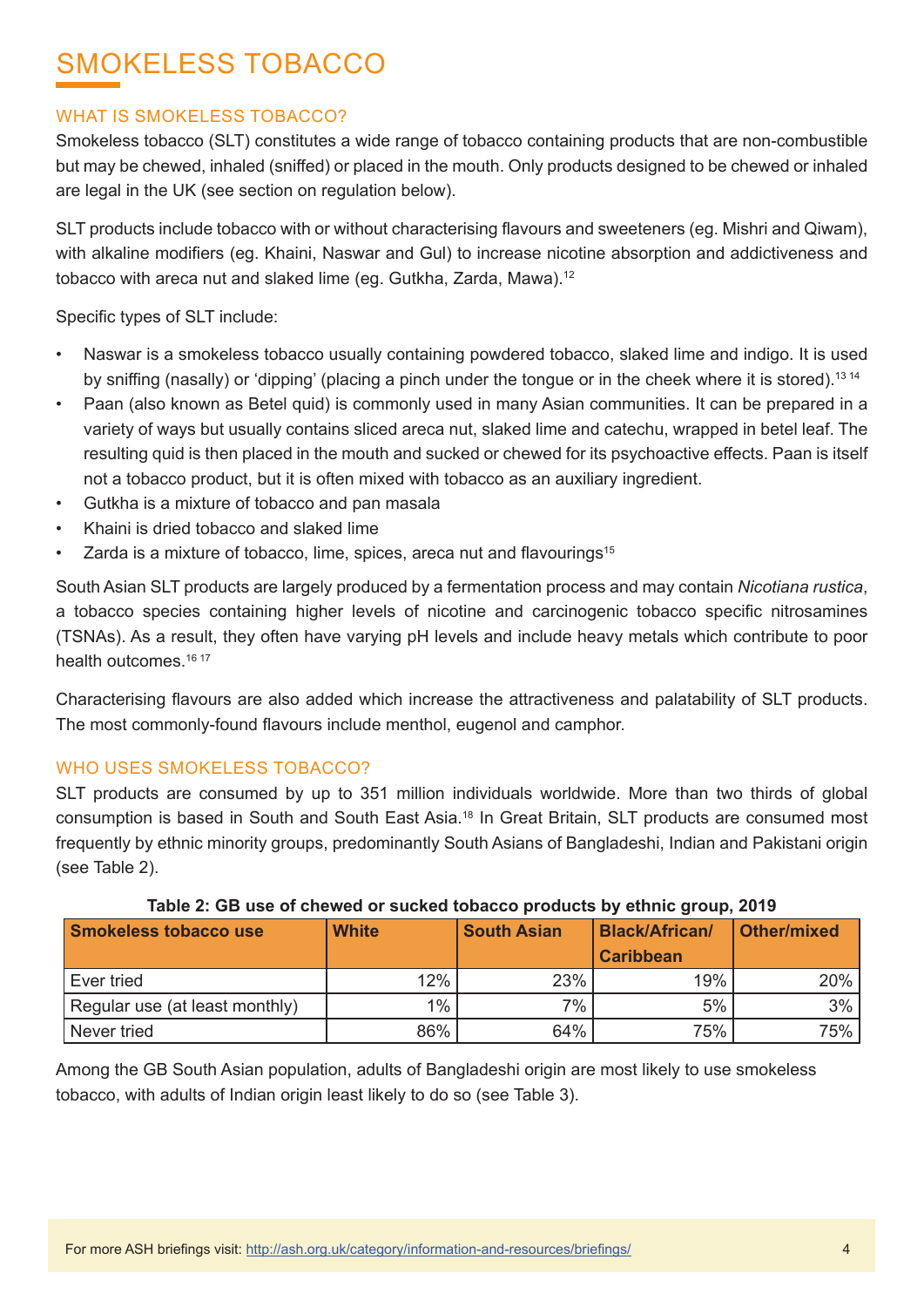# SMOKELESS TOBACCO

#### WHAT IS SMOKELESS TOBACCO?

Smokeless tobacco (SLT) constitutes a wide range of tobacco containing products that are non-combustible but may be chewed, inhaled (sniffed) or placed in the mouth. Only products designed to be chewed or inhaled are legal in the UK (see section on regulation below).

SLT products include tobacco with or without characterising flavours and sweeteners (eg. Mishri and Qiwam), with alkaline modifiers (eg. Khaini, Naswar and Gul) to increase nicotine absorption and addictiveness and tobacco with areca nut and slaked lime (eg. Gutkha, Zarda, Mawa).<sup>12</sup>

Specific types of SLT include:

- Naswar is a smokeless tobacco usually containing powdered tobacco, slaked lime and indigo. It is used by sniffing (nasally) or 'dipping' (placing a pinch under the tongue or in the cheek where it is stored).13 14
- Paan (also known as Betel quid) is commonly used in many Asian communities. It can be prepared in a variety of ways but usually contains sliced areca nut, slaked lime and catechu, wrapped in betel leaf. The resulting quid is then placed in the mouth and sucked or chewed for its psychoactive effects. Paan is itself not a tobacco product, but it is often mixed with tobacco as an auxiliary ingredient.
- Gutkha is a mixture of tobacco and pan masala
- Khaini is dried tobacco and slaked lime
- Zarda is a mixture of tobacco, lime, spices, areca nut and flavourings<sup>15</sup>

South Asian SLT products are largely produced by a fermentation process and may contain *Nicotiana rustica*, a tobacco species containing higher levels of nicotine and carcinogenic tobacco specific nitrosamines (TSNAs). As a result, they often have varying pH levels and include heavy metals which contribute to poor health outcomes.<sup>16 17</sup>

Characterising flavours are also added which increase the attractiveness and palatability of SLT products. The most commonly-found flavours include menthol, eugenol and camphor.

#### WHO USES SMOKELESS TOBACCO?

SLT products are consumed by up to 351 million individuals worldwide. More than two thirds of global consumption is based in South and South East Asia.18 In Great Britain, SLT products are consumed most frequently by ethnic minority groups, predominantly South Asians of Bangladeshi, Indian and Pakistani origin (see Table 2).

| Smokeless tobacco use          | <b>White</b> | <b>South Asian</b> | <b>Black/African/</b><br><b>Caribbean</b> | <b>Other/mixed</b> |
|--------------------------------|--------------|--------------------|-------------------------------------------|--------------------|
| Ever tried                     | 12%          | 23%                | 19%                                       | 20%                |
| Regular use (at least monthly) | 1%           | 7%                 | 5%                                        | 3%                 |
| <sup>I</sup> Never tried       | 86%          | 64%                | 75%                                       | 75%                |

#### **Table 2: GB use of chewed or sucked tobacco products by ethnic group, 2019**

Among the GB South Asian population, adults of Bangladeshi origin are most likely to use smokeless tobacco, with adults of Indian origin least likely to do so (see Table 3).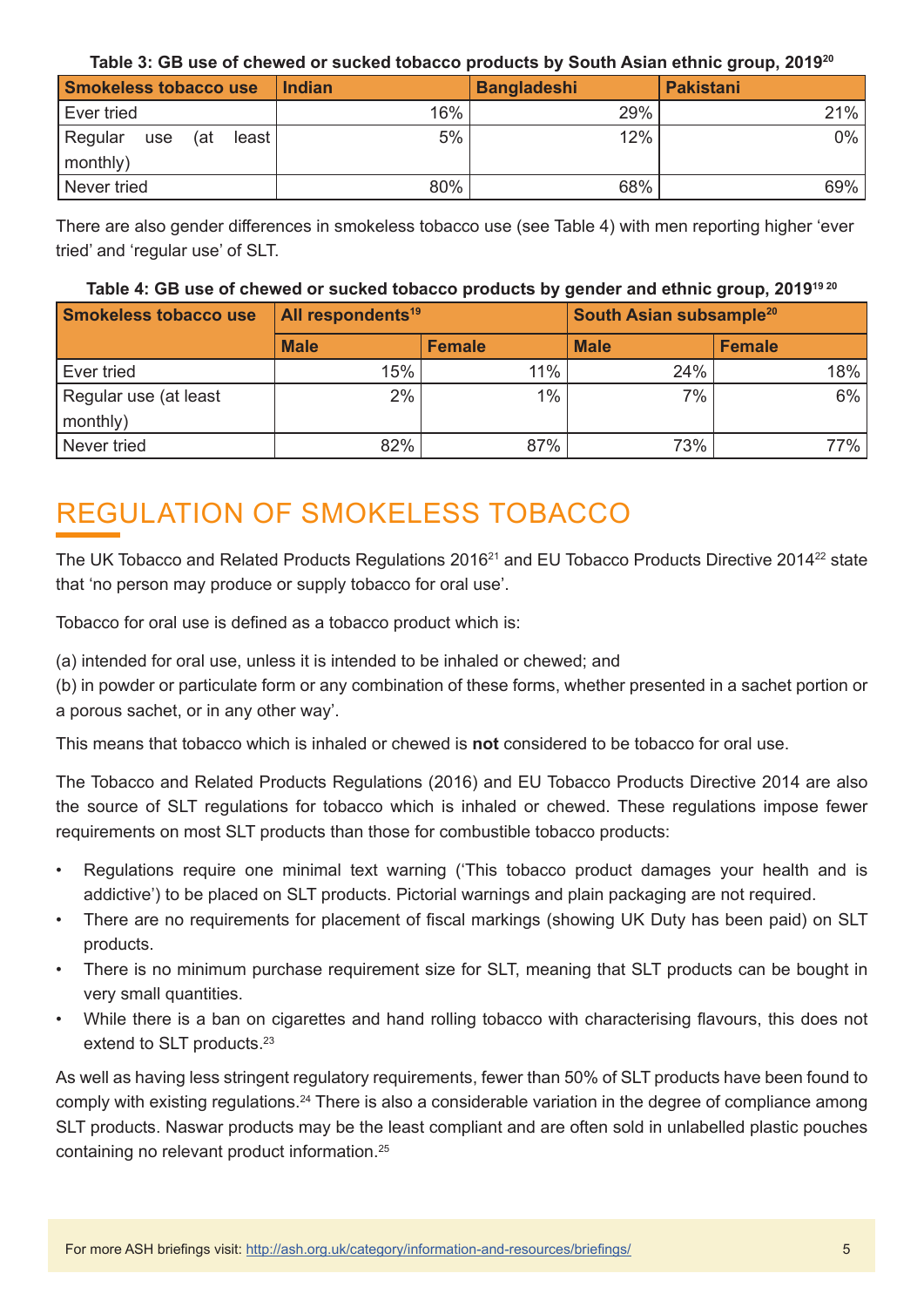| Table 3: GB use of chewed or sucked tobacco products by South Asian ethnic group, 2019 <sup>20</sup> |  |  |
|------------------------------------------------------------------------------------------------------|--|--|
|------------------------------------------------------------------------------------------------------|--|--|

| <b>Smokeless tobacco use</b>                     | <b>Indian</b> | <b>Bangladeshi</b> | <b>Pakistani</b> |
|--------------------------------------------------|---------------|--------------------|------------------|
| Ever tried                                       | 16%           | 29%                | 21%              |
| Regular<br>least l<br>(at<br>use<br>$ $ monthly) | 5%            | 12%                | $0\%$            |
| Never tried                                      | 80%           | 68%                | 69%              |

There are also gender differences in smokeless tobacco use (see Table 4) with men reporting higher 'ever tried' and 'regular use' of SLT.

#### **Table 4: GB use of chewed or sucked tobacco products by gender and ethnic group, 201919 20**

| Smokeless tobacco use | <b>All respondents<sup>19</sup></b> |               | South Asian subsample <sup>20</sup> |               |
|-----------------------|-------------------------------------|---------------|-------------------------------------|---------------|
|                       | <b>Male</b>                         | <b>Female</b> | <b>Male</b>                         | <b>Female</b> |
| Ever tried            | 15%                                 | 11%           | 24%                                 | 18%           |
| Regular use (at least | 2%                                  | 1%            | 7%                                  | 6%            |
| monthly)              |                                     |               |                                     |               |
| Never tried           | 82%                                 | 87%           | 73%                                 | 77%           |

## REGULATION OF SMOKELESS TOBACCO

The UK Tobacco and Related Products Regulations 2016<sup>21</sup> and EU Tobacco Products Directive 2014<sup>22</sup> state that 'no person may produce or supply tobacco for oral use'.

Tobacco for oral use is defined as a tobacco product which is:

(a) intended for oral use, unless it is intended to be inhaled or chewed; and

(b) in powder or particulate form or any combination of these forms, whether presented in a sachet portion or a porous sachet, or in any other way'.

This means that tobacco which is inhaled or chewed is **not** considered to be tobacco for oral use.

The Tobacco and Related Products Regulations (2016) and EU Tobacco Products Directive 2014 are also the source of SLT regulations for tobacco which is inhaled or chewed. These regulations impose fewer requirements on most SLT products than those for combustible tobacco products:

- Regulations require one minimal text warning ('This tobacco product damages your health and is addictive') to be placed on SLT products. Pictorial warnings and plain packaging are not required.
- There are no requirements for placement of fiscal markings (showing UK Duty has been paid) on SLT products.
- There is no minimum purchase requirement size for SLT, meaning that SLT products can be bought in very small quantities.
- While there is a ban on cigarettes and hand rolling tobacco with characterising flavours, this does not extend to SLT products.<sup>23</sup>

As well as having less stringent regulatory requirements, fewer than 50% of SLT products have been found to comply with existing regulations.24 There is also a considerable variation in the degree of compliance among SLT products. Naswar products may be the least compliant and are often sold in unlabelled plastic pouches containing no relevant product information.25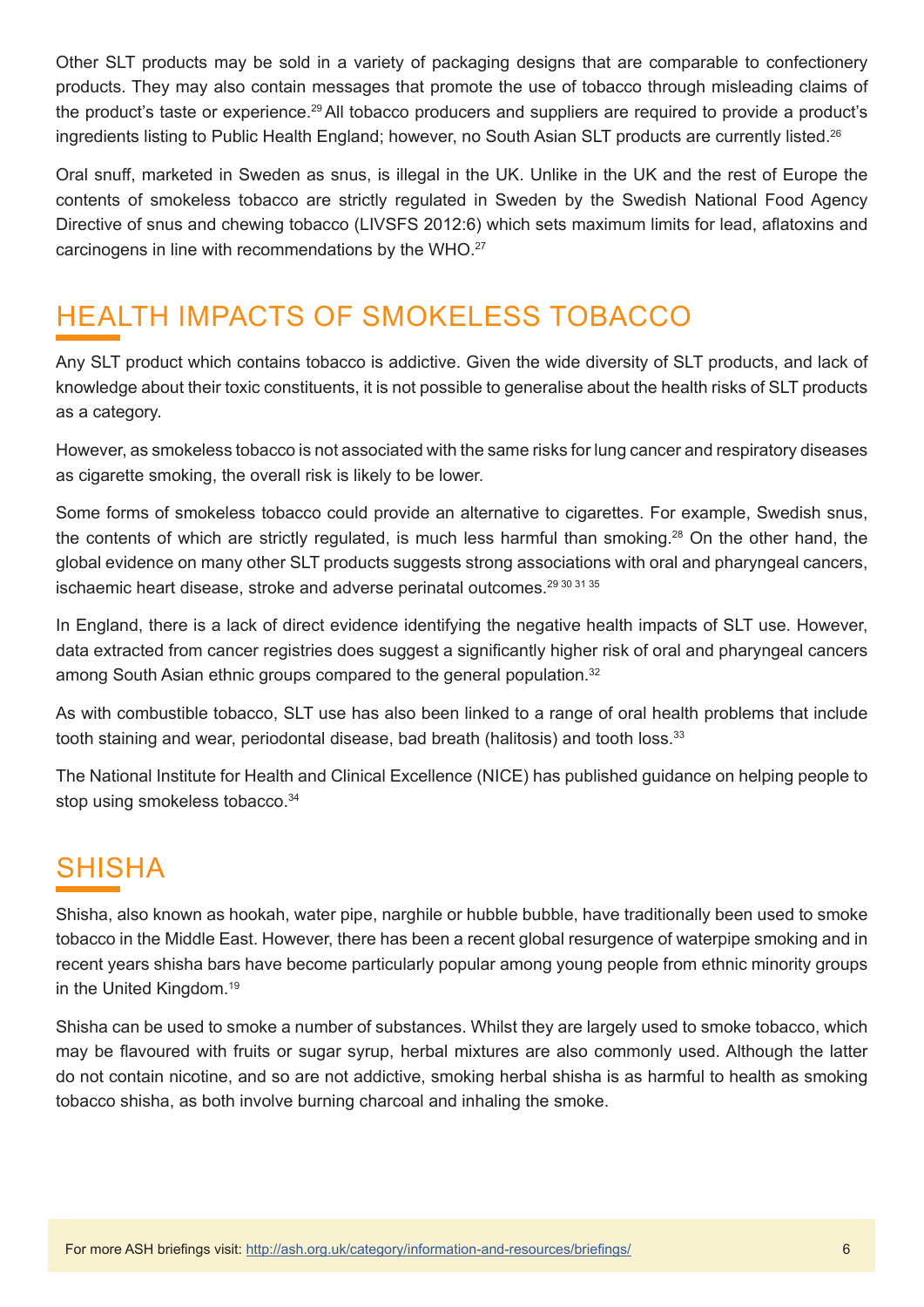Other SLT products may be sold in a variety of packaging designs that are comparable to confectionery products. They may also contain messages that promote the use of tobacco through misleading claims of the product's taste or experience.29 All tobacco producers and suppliers are required to provide a product's ingredients listing to Public Health England; however, no South Asian SLT products are currently listed.26

Oral snuff, marketed in Sweden as snus, is illegal in the UK. Unlike in the UK and the rest of Europe the contents of smokeless tobacco are strictly regulated in Sweden by the Swedish National Food Agency Directive of snus and chewing tobacco (LIVSFS 2012:6) which sets maximum limits for lead, aflatoxins and carcinogens in line with recommendations by the WHO.27

# HEALTH IMPACTS OF SMOKELESS TOBACCO

Any SLT product which contains tobacco is addictive. Given the wide diversity of SLT products, and lack of knowledge about their toxic constituents, it is not possible to generalise about the health risks of SLT products as a category.

However, as smokeless tobacco is not associated with the same risks for lung cancer and respiratory diseases as cigarette smoking, the overall risk is likely to be lower.

Some forms of smokeless tobacco could provide an alternative to cigarettes. For example, Swedish snus, the contents of which are strictly regulated, is much less harmful than smoking.<sup>28</sup> On the other hand, the global evidence on many other SLT products suggests strong associations with oral and pharyngeal cancers, ischaemic heart disease, stroke and adverse perinatal outcomes.<sup>29 30 31 35</sup>

In England, there is a lack of direct evidence identifying the negative health impacts of SLT use. However, data extracted from cancer registries does suggest a significantly higher risk of oral and pharyngeal cancers among South Asian ethnic groups compared to the general population.<sup>32</sup>

As with combustible tobacco, SLT use has also been linked to a range of oral health problems that include tooth staining and wear, periodontal disease, bad breath (halitosis) and tooth loss.<sup>33</sup>

The National Institute for Health and Clinical Excellence (NICE) has published guidance on helping people to stop using smokeless tobacco.<sup>34</sup>

### SHISHA

Shisha, also known as hookah, water pipe, narghile or hubble bubble, have traditionally been used to smoke tobacco in the Middle East. However, there has been a recent global resurgence of waterpipe smoking and in recent years shisha bars have become particularly popular among young people from ethnic minority groups in the United Kingdom.19

Shisha can be used to smoke a number of substances. Whilst they are largely used to smoke tobacco, which may be flavoured with fruits or sugar syrup, herbal mixtures are also commonly used. Although the latter do not contain nicotine, and so are not addictive, smoking herbal shisha is as harmful to health as smoking tobacco shisha, as both involve burning charcoal and inhaling the smoke.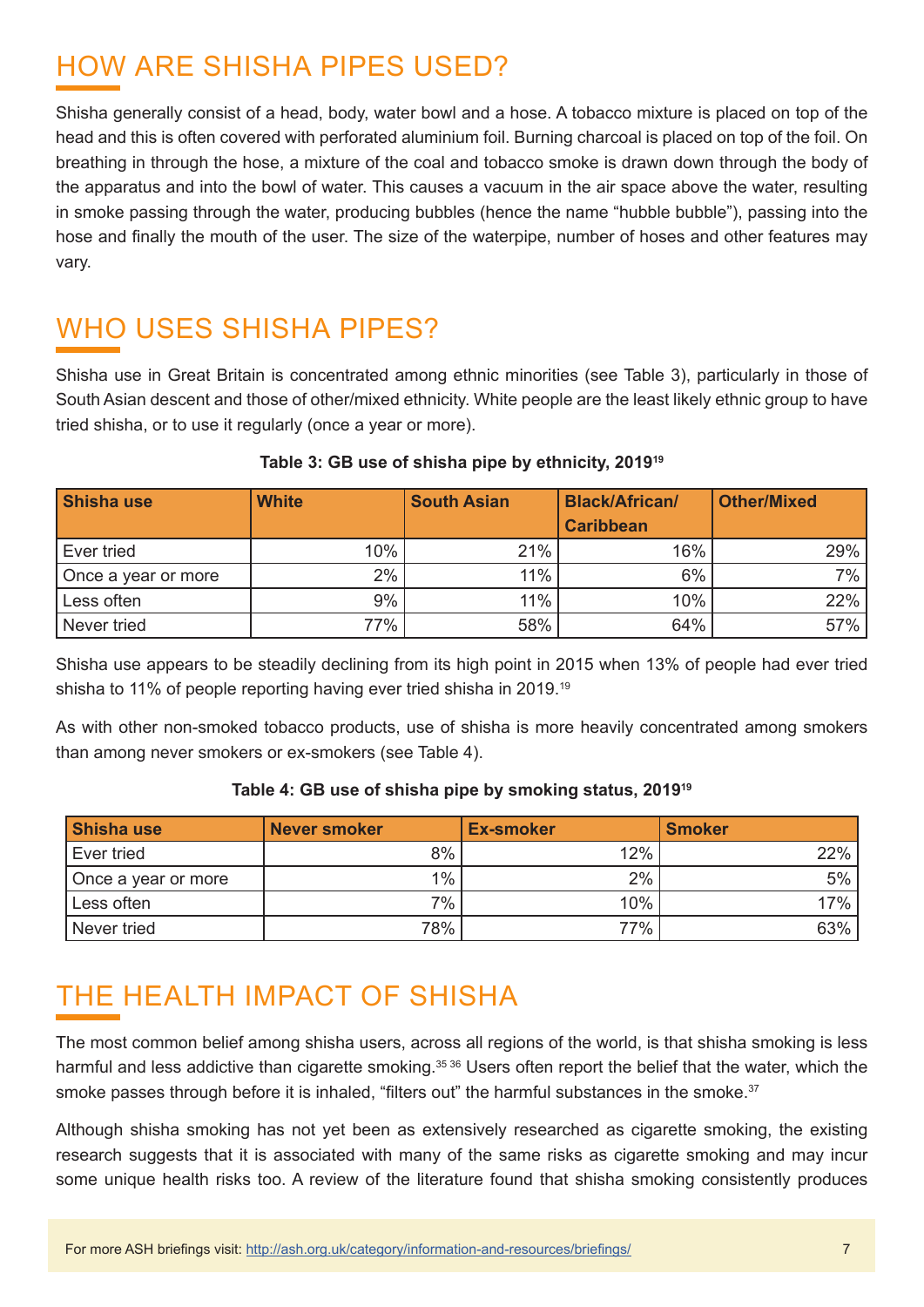# HOW ARE SHISHA PIPES USED?

Shisha generally consist of a head, body, water bowl and a hose. A tobacco mixture is placed on top of the head and this is often covered with perforated aluminium foil. Burning charcoal is placed on top of the foil. On breathing in through the hose, a mixture of the coal and tobacco smoke is drawn down through the body of the apparatus and into the bowl of water. This causes a vacuum in the air space above the water, resulting in smoke passing through the water, producing bubbles (hence the name "hubble bubble"), passing into the hose and finally the mouth of the user. The size of the waterpipe, number of hoses and other features may vary.

## WHO USES SHISHA PIPES?

Shisha use in Great Britain is concentrated among ethnic minorities (see Table 3), particularly in those of South Asian descent and those of other/mixed ethnicity. White people are the least likely ethnic group to have tried shisha, or to use it regularly (once a year or more).

| Shisha use          | <b>White</b> | <b>South Asian</b> | <b>Black/African/</b> | <b>Other/Mixed</b> |
|---------------------|--------------|--------------------|-----------------------|--------------------|
|                     |              |                    | <b>Caribbean</b>      |                    |
| Ever tried          | 10%          | 21%                | 16%                   | 29%                |
| Once a year or more | 2%           | 11%                | 6%                    | 7%                 |
| Less often          | 9%           | 11%                | 10%                   | 22%                |
| Never tried         | 77%          | 58%                | 64%                   | 57%                |

#### **Table 3: GB use of shisha pipe by ethnicity, 2019<sup>19</sup>**

Shisha use appears to be steadily declining from its high point in 2015 when 13% of people had ever tried shisha to 11% of people reporting having ever tried shisha in 2019.<sup>19</sup>

As with other non-smoked tobacco products, use of shisha is more heavily concentrated among smokers than among never smokers or ex-smokers (see Table 4).

#### **Table 4: GB use of shisha pipe by smoking status, 2019<sup>19</sup>**

| Shisha use          | Never smoker | <b>Ex-smoker</b> | <b>Smoker</b> |
|---------------------|--------------|------------------|---------------|
| Ever tried          | 8%           | 12%              | 22%           |
| Once a year or more | 1%           | 2%               | $5\%$         |
| Less often          | 7%           | 10%              | 17%           |
| Never tried         | 78%          | 77%              | 63%           |

## THE HEALTH IMPACT OF SHISHA

The most common belief among shisha users, across all regions of the world, is that shisha smoking is less harmful and less addictive than cigarette smoking.<sup>35 36</sup> Users often report the belief that the water, which the smoke passes through before it is inhaled, "filters out" the harmful substances in the smoke.<sup>37</sup>

Although shisha smoking has not yet been as extensively researched as cigarette smoking, the existing research suggests that it is associated with many of the same risks as cigarette smoking and may incur some unique health risks too. A review of the literature found that shisha smoking consistently produces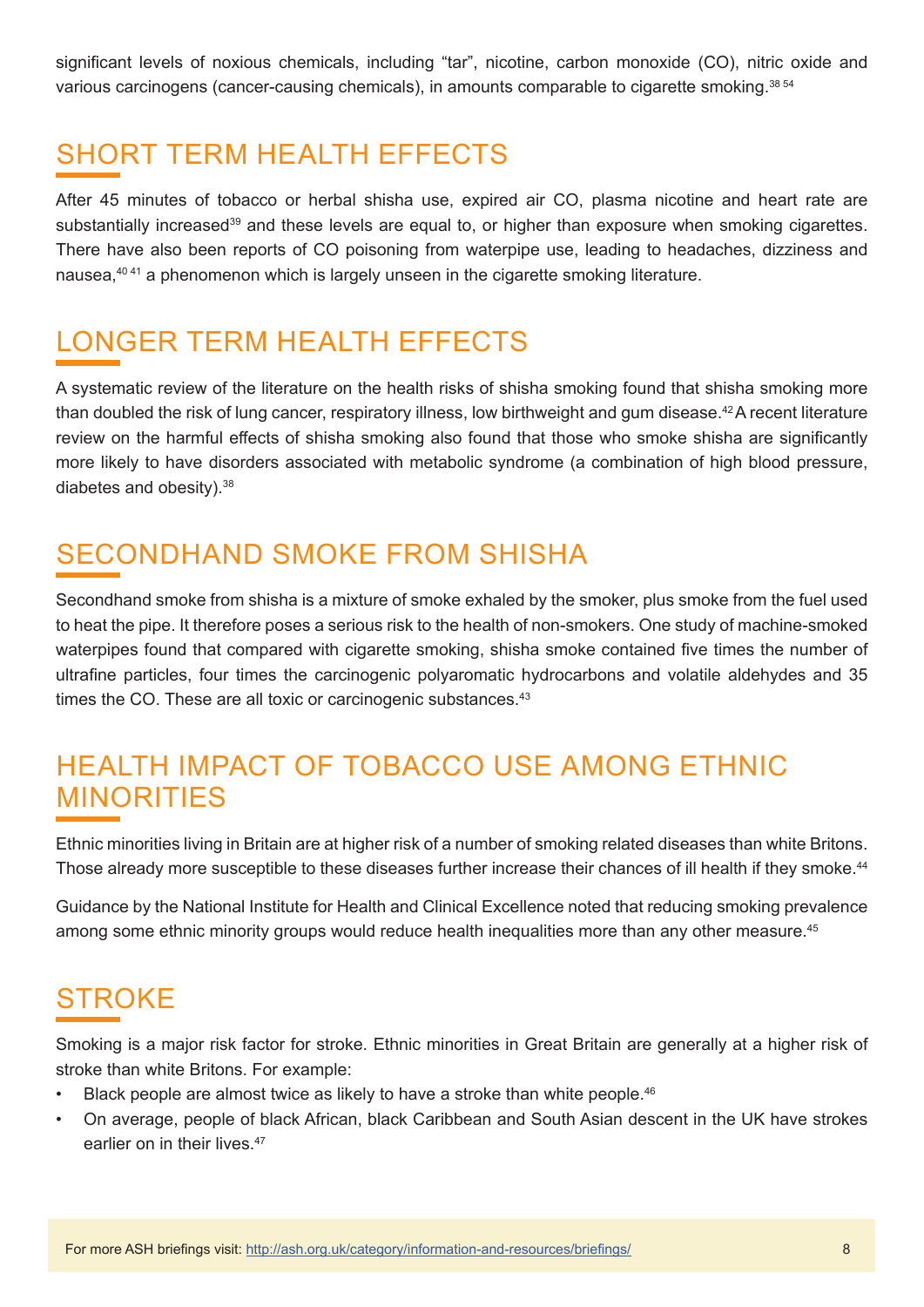significant levels of noxious chemicals, including "tar", nicotine, carbon monoxide (CO), nitric oxide and various carcinogens (cancer-causing chemicals), in amounts comparable to cigarette smoking.<sup>38 54</sup>

# SHORT TERM HEALTH EFFECTS

After 45 minutes of tobacco or herbal shisha use, expired air CO, plasma nicotine and heart rate are substantially increased<sup>39</sup> and these levels are equal to, or higher than exposure when smoking cigarettes. There have also been reports of CO poisoning from waterpipe use, leading to headaches, dizziness and nausea,40 41 a phenomenon which is largely unseen in the cigarette smoking literature.

### LONGER TERM HEALTH EFFECTS

A systematic review of the literature on the health risks of shisha smoking found that shisha smoking more than doubled the risk of lung cancer, respiratory illness, low birthweight and gum disease.42 A recent literature review on the harmful effects of shisha smoking also found that those who smoke shisha are significantly more likely to have disorders associated with metabolic syndrome (a combination of high blood pressure, diabetes and obesity).38

### SECONDHAND SMOKE FROM SHISHA

Secondhand smoke from shisha is a mixture of smoke exhaled by the smoker, plus smoke from the fuel used to heat the pipe. It therefore poses a serious risk to the health of non-smokers. One study of machine-smoked waterpipes found that compared with cigarette smoking, shisha smoke contained five times the number of ultrafine particles, four times the carcinogenic polyaromatic hydrocarbons and volatile aldehydes and 35 times the CO. These are all toxic or carcinogenic substances.<sup>43</sup>

#### HEALTH IMPACT OF TOBACCO USE AMONG ETHNIC MINORITIES

Ethnic minorities living in Britain are at higher risk of a number of smoking related diseases than white Britons. Those already more susceptible to these diseases further increase their chances of ill health if they smoke.<sup>44</sup>

Guidance by the National Institute for Health and Clinical Excellence noted that reducing smoking prevalence among some ethnic minority groups would reduce health inequalities more than any other measure.<sup>45</sup>

## **STROKF**

Smoking is a major risk factor for stroke. Ethnic minorities in Great Britain are generally at a higher risk of stroke than white Britons. For example:

- Black people are almost twice as likely to have a stroke than white people.<sup>46</sup>
- On average, people of black African, black Caribbean and South Asian descent in the UK have strokes earlier on in their lives.<sup>47</sup>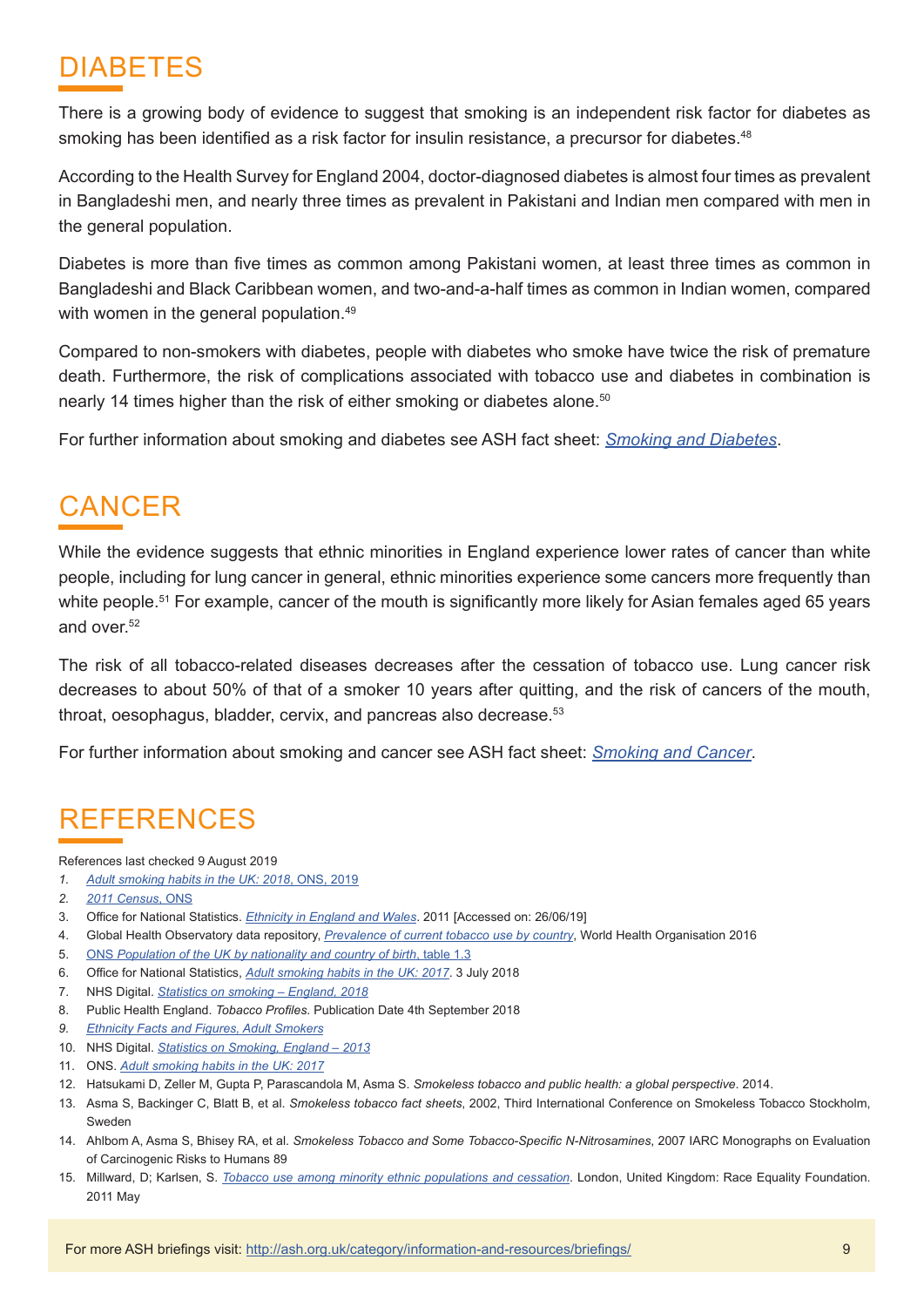### DIABETES

There is a growing body of evidence to suggest that smoking is an independent risk factor for diabetes as smoking has been identified as a risk factor for insulin resistance, a precursor for diabetes.<sup>48</sup>

According to the Health Survey for England 2004, doctor-diagnosed diabetes is almost four times as prevalent in Bangladeshi men, and nearly three times as prevalent in Pakistani and Indian men compared with men in the general population.

Diabetes is more than five times as common among Pakistani women, at least three times as common in Bangladeshi and Black Caribbean women, and two-and-a-half times as common in Indian women, compared with women in the general population.<sup>49</sup>

Compared to non-smokers with diabetes, people with diabetes who smoke have twice the risk of premature death. Furthermore, the risk of complications associated with tobacco use and diabetes in combination is nearly 14 times higher than the risk of either smoking or diabetes alone.<sup>50</sup>

For further information about smoking and diabetes see ASH fact sheet: *[Smoking and Diabetes](https://ash.org.uk/download/smoking-and-diabetes/)*.

## **CANCER**

While the evidence suggests that ethnic minorities in England experience lower rates of cancer than white people, including for lung cancer in general, ethnic minorities experience some cancers more frequently than white people.<sup>51</sup> For example, cancer of the mouth is significantly more likely for Asian females aged 65 years and over.<sup>52</sup>

The risk of all tobacco-related diseases decreases after the cessation of tobacco use. Lung cancer risk decreases to about 50% of that of a smoker 10 years after quitting, and the risk of cancers of the mouth, throat, oesophagus, bladder, cervix, and pancreas also decrease.<sup>53</sup>

For further information about smoking and cancer see ASH fact sheet: *[Smoking and Cancer](https://ash.org.uk/download/04-smoking-and-cancer/)*.

### REFERENCES

References last checked 9 August 2019

- *1. [Adult smoking habits in the UK: 2018](https://www.ons.gov.uk/peoplepopulationandcommunity/healthandsocialcare/healthandlifeexpectancies/bulletins/adultsmokinghabitsingreatbritain/2018#health-consequences-of-cigarette-smoking)*, ONS, 2019
- *2. [2011 Census](https://www.ons.gov.uk/census/2011census)*, ONS
- 3. Office for National Statistics. *[Ethnicity in England and Wales](https://www.ons.gov.uk/peoplepopulationandcommunity/culturalidentity/ethnicity/articles/ethnicityandnationalidentityinenglandandwales/2012-12-11)*. 2011 [Accessed on: 26/06/19]
- 4. Global Health Observatory data repository, *[Prevalence of current tobacco use by country](http://apps.who.int/gho/data/view.main.GSWCAH20v)*, World Health Organisation 2016
- 5. ONS *[Population of the UK by nationality and country of birth](https://migrationobservatory.ox.ac.uk/resources/briefings/migrants-in-the-uk-an-overview/)*, table 1.3
- 6. Office for National Statistics, *[Adult smoking habits in the UK: 2017](https://www.ons.gov.uk/peoplepopulationandcommunity/healthandsocialcare/healthandlifeexpectancies/bulletins/adultsmokinghabitsingreatbritain/2017)*. 3 July 2018
- 7. NHS Digital. *[Statistics on smoking England, 2018](https://digital.nhs.uk/data-and-information/publications/statistical/statistics-on-smoking/statistics-on-smoking-england-2018/part-3-smoking-patterns-in-adults)*
- 8. Public Health England. *Tobacco Profiles*. Publication Date 4th September 2018
- *9. [Ethnicity Facts and Figures, Adult Smokers](https://www.ethnicity-facts-figures.service.gov.uk/health/preventing-illness/adult-smokers/latest)*
- 10. NHS Digital. *[Statistics on Smoking, England 2013](https://digital.nhs.uk/data-and-information/publications/statistical/statistics-on-smoking/statistics-on-smoking-england-2013)*
- 11. ONS. *[Adult smoking habits in the UK: 2017](https://www.ons.gov.uk/peoplepopulationandcommunity/healthandsocialcare/healthandlifeexpectancies/bulletins/adultsmokinghabitsingreatbritain/2017)*
- 12. Hatsukami D, Zeller M, Gupta P, Parascandola M, Asma S. *Smokeless tobacco and public health: a global perspective*. 2014.
- 13. Asma S, Backinger C, Blatt B, et al. *Smokeless tobacco fact sheets*, 2002, Third International Conference on Smokeless Tobacco Stockholm, Sweden
- 14. Ahlbom A, Asma S, Bhisey RA, et al. *Smokeless Tobacco and Some Tobacco-Specific N-Nitrosamines*, 2007 IARC Monographs on Evaluation of Carcinogenic Risks to Humans 89
- 15. Millward, D; Karlsen, S. *[Tobacco use among minority ethnic populations and cessation](https://raceequalityfoundation.org.uk/wp-content/uploads/2018/03/health-brief22_0.pdf)*. London, United Kingdom: Race Equality Foundation. 2011 May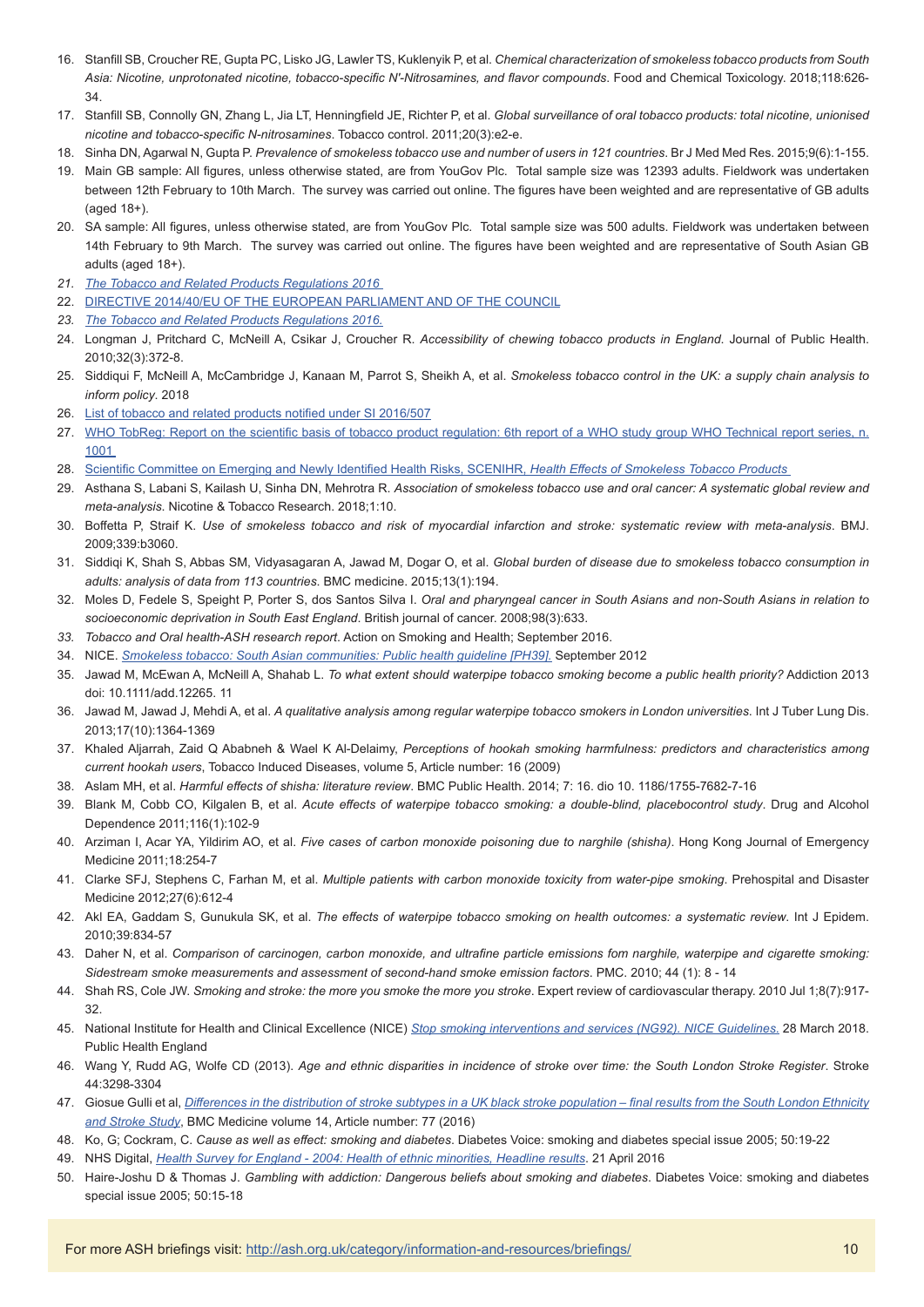- 16. Stanfill SB, Croucher RE, Gupta PC, Lisko JG, Lawler TS, Kuklenyik P, et al. *Chemical characterization of smokeless tobacco products from South Asia: Nicotine, unprotonated nicotine, tobacco-specific N′-Nitrosamines, and flavor compounds*. Food and Chemical Toxicology. 2018;118:626- 34.
- 17. Stanfill SB, Connolly GN, Zhang L, Jia LT, Henningfield JE, Richter P, et al. *Global surveillance of oral tobacco products: total nicotine, unionised nicotine and tobacco-specific N-nitrosamines*. Tobacco control. 2011;20(3):e2-e.
- 18. Sinha DN, Agarwal N, Gupta P. *Prevalence of smokeless tobacco use and number of users in 121 countries*. Br J Med Med Res. 2015;9(6):1-155.
- 19. Main GB sample: All figures, unless otherwise stated, are from YouGov Plc. Total sample size was 12393 adults. Fieldwork was undertaken between 12th February to 10th March. The survey was carried out online. The figures have been weighted and are representative of GB adults (aged 18+).
- 20. SA sample: All figures, unless otherwise stated, are from YouGov Plc. Total sample size was 500 adults. Fieldwork was undertaken between 14th February to 9th March. The survey was carried out online. The figures have been weighted and are representative of South Asian GB adults (aged 18+).
- *21. [The Tobacco and Related Products Regulations 2016](http://www.legislation.gov.uk/uksi/2016/507/contents/made)*
- 22. [DIRECTIVE 2014/40/EU OF THE EUROPEAN PARLIAMENT AND OF THE COUNCIL](https://eur-lex.europa.eu/legal-content/EN/TXT/?uri=OJ%3AJOL_2014_127_R_0001)
- *23. [The Tobacco and Related Products Regulations 2016.](http://www.legislation.gov.uk/uksi/2016/507/contents/made)*
- 24. Longman J, Pritchard C, McNeill A, Csikar J, Croucher R. *Accessibility of chewing tobacco products in England*. Journal of Public Health. 2010;32(3):372-8.
- 25. Siddiqui F, McNeill A, McCambridge J, Kanaan M, Parrot S, Sheikh A, et al. *Smokeless tobacco control in the UK: a supply chain analysis to inform policy*. 2018
- 26. [List of tobacco and related products notified under SI 2016/507](https://www.gov.uk/government/publications/notification-of-tobacco-or-herbal-products-for-smoking)
- 27. [WHO TobReg: Report on the scientific basis of tobacco product regulation: 6th report of a WHO study group WHO Technical report series, n.](https://www.who.int/tobacco/publications/prod_regulation/trs1001/en/) [1001](https://www.who.int/tobacco/publications/prod_regulation/trs1001/en/)
- 28. [Scientific Committee on Emerging and Newly Identified Health Risks, SCENIHR,](http://ec.europa.eu/health/ph_risk/committees/04_scenihr/docs/scenihr_o_013.pdf) *Health Effects of Smokeless Tobacco Products*
- 29. Asthana S, Labani S, Kailash U, Sinha DN, Mehrotra R. *Association of smokeless tobacco use and oral cancer: A systematic global review and meta-analysis*. Nicotine & Tobacco Research. 2018;1:10.
- 30. Boffetta P, Straif K. *Use of smokeless tobacco and risk of myocardial infarction and stroke: systematic review with meta-analysis*. BMJ. 2009;339:b3060.
- 31. Siddiqi K, Shah S, Abbas SM, Vidyasagaran A, Jawad M, Dogar O, et al. *Global burden of disease due to smokeless tobacco consumption in adults: analysis of data from 113 countries*. BMC medicine. 2015;13(1):194.
- 32. Moles D, Fedele S, Speight P, Porter S, dos Santos Silva I. *Oral and pharyngeal cancer in South Asians and non-South Asians in relation to socioeconomic deprivation in South East England*. British journal of cancer. 2008;98(3):633.
- *33. Tobacco and Oral health-ASH research report*. Action on Smoking and Health; September 2016.
- 34. NICE. *[Smokeless tobacco: South Asian communities: Public health guideline \[PH39\].](https://www.nice.org.uk/guidance/ph39)* September 2012
- 35. Jawad M, McEwan A, McNeill A, Shahab L. *To what extent should waterpipe tobacco smoking become a public health priority?* Addiction 2013 doi: 10.1111/add.12265. 11
- 36. Jawad M, Jawad J, Mehdi A, et al. *A qualitative analysis among regular waterpipe tobacco smokers in London universities*. Int J Tuber Lung Dis. 2013;17(10):1364-1369
- 37. Khaled Aljarrah, Zaid Q Ababneh & Wael K Al-Delaimy, *Perceptions of hookah smoking harmfulness: predictors and characteristics among current hookah users*, Tobacco Induced Diseases, volume 5, Article number: 16 (2009)
- 38. Aslam MH, et al. *Harmful effects of shisha: literature review*. BMC Public Health. 2014; 7: 16. dio 10. 1186/1755-7682-7-16
- 39. Blank M, Cobb CO, Kilgalen B, et al. *Acute effects of waterpipe tobacco smoking: a double-blind, placebocontrol study*. Drug and Alcohol Dependence 2011:116(1):102-9
- 40. Arziman I, Acar YA, Yildirim AO, et al. *Five cases of carbon monoxide poisoning due to narghile (shisha)*. Hong Kong Journal of Emergency Medicine 2011:18:254-7
- 41. Clarke SFJ, Stephens C, Farhan M, et al. *Multiple patients with carbon monoxide toxicity from water-pipe smoking*. Prehospital and Disaster Medicine 2012;27(6):612-4
- 42. Akl EA, Gaddam S, Gunukula SK, et al. *The effects of waterpipe tobacco smoking on health outcomes: a systematic review*. Int J Epidem. 2010;39:834-57
- 43. Daher N, et al. *Comparison of carcinogen, carbon monoxide, and ultrafine particle emissions fom narghile, waterpipe and cigarette smoking: Sidestream smoke measurements and assessment of second-hand smoke emission factors*. PMC. 2010; 44 (1): 8 - 14
- 44. Shah RS, Cole JW. *Smoking and stroke: the more you smoke the more you stroke*. Expert review of cardiovascular therapy. 2010 Jul 1;8(7):917- 32.
- 45. National Institute for Health and Clinical Excellence (NICE) *[Stop smoking interventions and services \(NG92\). NICE Guidelines](https://www.nice.org.uk/guidance/ng92/resources/stop-smoking-interventions-and-services-pdf-1837751801029)*. 28 March 2018. Public Health England
- 46. Wang Y, Rudd AG, Wolfe CD (2013). *Age and ethnic disparities in incidence of stroke over time: the South London Stroke Register*. Stroke 44:3298-3304
- 47. Giosue Gulli et al, *[Differences in the distribution of stroke subtypes in a UK black stroke population final results from the South London Ethnicity](https://bmcmedicine.biomedcentral.com/articles/10.1186/s12916-016-0618-2) [and Stroke Study](https://bmcmedicine.biomedcentral.com/articles/10.1186/s12916-016-0618-2)*, BMC Medicine volume 14, Article number: 77 (2016)
- 48. Ko, G; Cockram, C. *Cause as well as effect: smoking and diabetes*. Diabetes Voice: smoking and diabetes special issue 2005; 50:19-22
- 49. NHS Digital, *[Health Survey for England 2004: Health of ethnic minorities, Headline results](https://digital.nhs.uk/data-and-information/publications/statistical/health-survey-for-england/health-survey-for-england-2004-health-of-ethnic-minorities-headline-results)*. 21 April 2016
- 50. Haire-Joshu D & Thomas J. *Gambling with addiction: Dangerous beliefs about smoking and diabetes*. Diabetes Voice: smoking and diabetes special issue 2005; 50:15-18